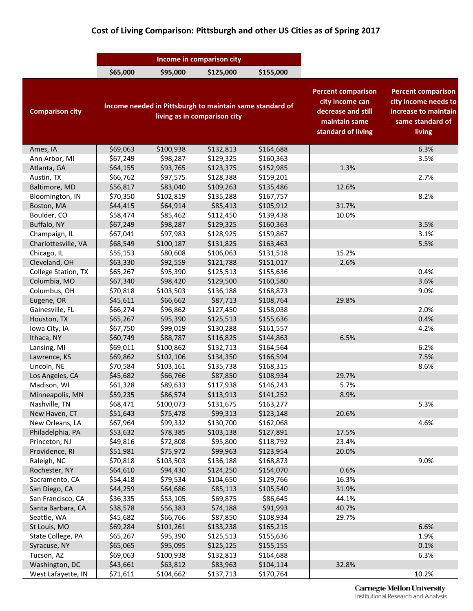## **Cost of Living Comparison: Pittsburgh and other US Cities as of Spring 2017**

|                        | Income in comparison city                                                                |           |           |           |                                                                                                           |                                                                                                         |
|------------------------|------------------------------------------------------------------------------------------|-----------|-----------|-----------|-----------------------------------------------------------------------------------------------------------|---------------------------------------------------------------------------------------------------------|
|                        | \$65,000                                                                                 | \$95,000  | \$125,000 | \$155,000 |                                                                                                           |                                                                                                         |
| <b>Comparison city</b> | Income needed in Pittsburgh to maintain same standard of<br>living as in comparison city |           |           |           | <b>Percent comparison</b><br>city income can<br>decrease and still<br>maintain same<br>standard of living | <b>Percent comparison</b><br>city income needs to<br>increase to maintain<br>same standard of<br>living |
| Ames, IA               | \$69,063                                                                                 | \$100,938 | \$132,813 | \$164,688 |                                                                                                           | 6.3%                                                                                                    |
| Ann Arbor, MI          | \$67,249                                                                                 | \$98,287  | \$129,325 | \$160,363 |                                                                                                           | 3.5%                                                                                                    |
| Atlanta, GA            | \$64,155                                                                                 | \$93,765  | \$123,375 | \$152,985 | 1.3%                                                                                                      |                                                                                                         |
| Austin, TX             | \$66,762                                                                                 | \$97,575  | \$128,388 | \$159,201 |                                                                                                           | 2.7%                                                                                                    |
| Baltimore, MD          | \$56,817                                                                                 | \$83,040  | \$109,263 | \$135,486 | 12.6%                                                                                                     |                                                                                                         |
| Bloomington, IN        | \$70,350                                                                                 | \$102,819 | \$135,288 | \$167,757 |                                                                                                           | 8.2%                                                                                                    |
| Boston, MA             | \$44,415                                                                                 | \$64,914  | \$85,413  | \$105,912 | 31.7%                                                                                                     |                                                                                                         |
| Boulder, CO            | \$58,474                                                                                 | \$85,462  | \$112,450 | \$139,438 | 10.0%                                                                                                     |                                                                                                         |
| Buffalo, NY            | \$67,249                                                                                 | \$98,287  | \$129,325 | \$160,363 |                                                                                                           | 3.5%                                                                                                    |
| Champaign, IL          | \$67,041                                                                                 | \$97,983  | \$128,925 | \$159,867 |                                                                                                           | 3.1%                                                                                                    |
| Charlottesville, VA    | \$68,549                                                                                 | \$100,187 | \$131,825 | \$163,463 |                                                                                                           | 5.5%                                                                                                    |
| Chicago, IL            | \$55,153                                                                                 | \$80,608  | \$106,063 | \$131,518 | 15.2%                                                                                                     |                                                                                                         |
| Cleveland, OH          | \$63,330                                                                                 | \$92,559  | \$121,788 | \$151,017 | 2.6%                                                                                                      |                                                                                                         |
| College Station, TX    | \$65,267                                                                                 | \$95,390  | \$125,513 | \$155,636 |                                                                                                           | 0.4%                                                                                                    |
| Columbia, MO           | \$67,340                                                                                 | \$98,420  | \$129,500 | \$160,580 |                                                                                                           | 3.6%                                                                                                    |
| Columbus, OH           | \$70,818                                                                                 | \$103,503 | \$136,188 | \$168,873 |                                                                                                           | 9.0%                                                                                                    |
| Eugene, OR             | \$45,611                                                                                 | \$66,662  | \$87,713  | \$108,764 | 29.8%                                                                                                     |                                                                                                         |
| Gainesville, FL        | \$66,274                                                                                 | \$96,862  | \$127,450 | \$158,038 |                                                                                                           | 2.0%                                                                                                    |
| Houston, TX            | \$65,267                                                                                 | \$95,390  | \$125,513 | \$155,636 |                                                                                                           | 0.4%                                                                                                    |
| Iowa City, IA          | \$67,750                                                                                 | \$99,019  | \$130,288 | \$161,557 |                                                                                                           | 4.2%                                                                                                    |
| Ithaca, NY             | \$60,749                                                                                 | \$88,787  | \$116,825 | \$144,863 | 6.5%                                                                                                      |                                                                                                         |
| Lansing, MI            | \$69,011                                                                                 | \$100,862 | \$132,713 | \$164,564 |                                                                                                           | 6.2%                                                                                                    |
| Lawrence, KS           | \$69,862                                                                                 | \$102,106 | \$134,350 | \$166,594 |                                                                                                           | 7.5%                                                                                                    |
| Lincoln, NE            | \$70,584                                                                                 | \$103,161 | \$135,738 | \$168,315 |                                                                                                           | 8.6%                                                                                                    |
| Los Angeles, CA        | \$45,682                                                                                 | \$66,766  | \$87,850  | \$108,934 | 29.7%                                                                                                     |                                                                                                         |
| Madison, WI            | \$61,328                                                                                 | \$89,633  | \$117,938 | \$146,243 | 5.7%                                                                                                      |                                                                                                         |
| Minneapolis, MN        | \$59,235                                                                                 | \$86,574  | \$113,913 | \$141,252 | 8.9%                                                                                                      |                                                                                                         |
| Nashville, TN          | \$68,471                                                                                 | \$100,073 | \$131,675 | \$163,277 |                                                                                                           | 5.3%                                                                                                    |
| New Haven, CT          | \$51,643                                                                                 | \$75,478  | \$99,313  | \$123,148 | 20.6%                                                                                                     |                                                                                                         |
| New Orleans, LA        | \$67,964                                                                                 | \$99,332  | \$130,700 | \$162,068 |                                                                                                           | 4.6%                                                                                                    |
| Philadelphia, PA       | \$53,632                                                                                 | \$78,385  | \$103,138 | \$127,891 | 17.5%                                                                                                     |                                                                                                         |
| Princeton, NJ          | \$49,816                                                                                 | \$72,808  | \$95,800  | \$118,792 | 23.4%                                                                                                     |                                                                                                         |
| Providence, RI         | \$51,981                                                                                 | \$75,972  | \$99,963  | \$123,954 | 20.0%                                                                                                     |                                                                                                         |
| Raleigh, NC            | \$70,818                                                                                 | \$103,503 | \$136,188 | \$168,873 |                                                                                                           | 9.0%                                                                                                    |
| Rochester, NY          | \$64,610                                                                                 | \$94,430  | \$124,250 | \$154,070 | 0.6%                                                                                                      |                                                                                                         |
| Sacramento, CA         | \$54,418                                                                                 | \$79,534  | \$104,650 | \$129,766 | 16.3%                                                                                                     |                                                                                                         |
| San Diego, CA          | \$44,259                                                                                 | \$64,686  | \$85,113  | \$105,540 | 31.9%                                                                                                     |                                                                                                         |
| San Francisco, CA      | \$36,335                                                                                 | \$53,105  | \$69,875  | \$86,645  | 44.1%                                                                                                     |                                                                                                         |
| Santa Barbara, CA      | \$38,578                                                                                 | \$56,383  | \$74,188  | \$91,993  | 40.7%                                                                                                     |                                                                                                         |
| Seattle, WA            | \$45,682                                                                                 | \$66,766  | \$87,850  | \$108,934 | 29.7%                                                                                                     |                                                                                                         |
| St Louis, MO           | \$69,284                                                                                 | \$101,261 | \$133,238 | \$165,215 |                                                                                                           | 6.6%                                                                                                    |
| State College, PA      | \$65,267                                                                                 | \$95,390  | \$125,513 | \$155,636 |                                                                                                           | 1.9%                                                                                                    |
| Syracuse, NY           | \$65,065                                                                                 | \$95,095  | \$125,125 | \$155,155 |                                                                                                           | 0.1%                                                                                                    |
| Tucson, AZ             | \$69,063                                                                                 | \$100,938 | \$132,813 | \$164,688 |                                                                                                           | 6.3%                                                                                                    |
| Washington, DC         | \$43,661                                                                                 | \$63,812  | \$83,963  | \$104,114 | 32.8%                                                                                                     |                                                                                                         |
| West Lafayette, IN     | \$71,611                                                                                 | \$104,662 | \$137,713 | \$170,764 |                                                                                                           | 10.2%                                                                                                   |

**Carnegie Mellon University**<br>Institutional Research and Analysis